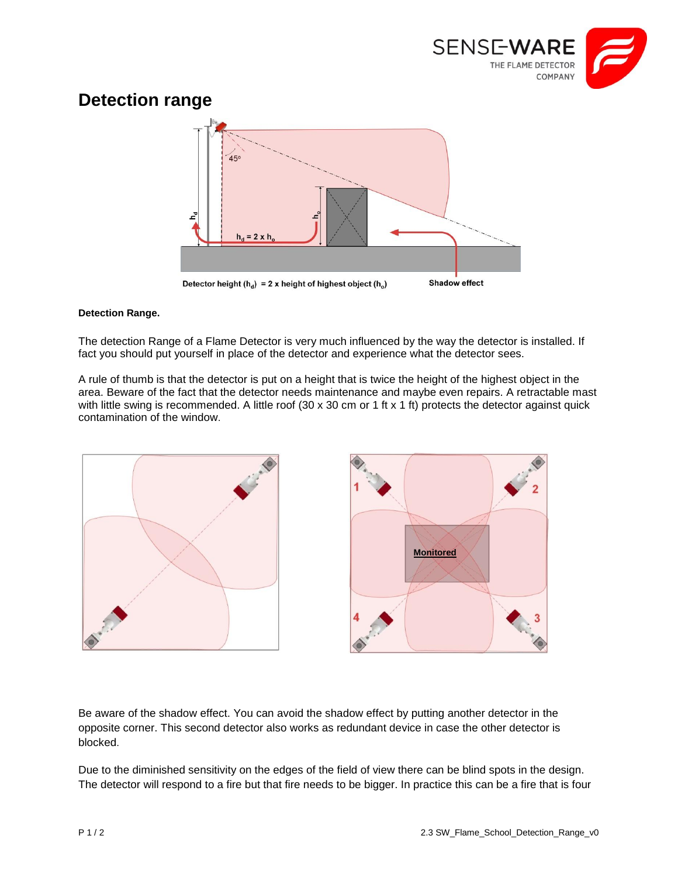

## **Detection range**



## **Detection Range.**

The detection Range of a Flame Detector is very much influenced by the way the detector is installed. If fact you should put yourself in place of the detector and experience what the detector sees.

A rule of thumb is that the detector is put on a height that is twice the height of the highest object in the area. Beware of the fact that the detector needs maintenance and maybe even repairs. A retractable mast with little swing is recommended. A little roof (30 x 30 cm or 1 ft x 1 ft) protects the detector against quick contamination of the window.





Be aware of the shadow effect. You can avoid the shadow effect by putting another detector in the opposite corner. This second detector also works as redundant device in case the other detector is blocked.

Due to the diminished sensitivity on the edges of the field of view there can be blind spots in the design. The detector will respond to a fire but that fire needs to be bigger. In practice this can be a fire that is four